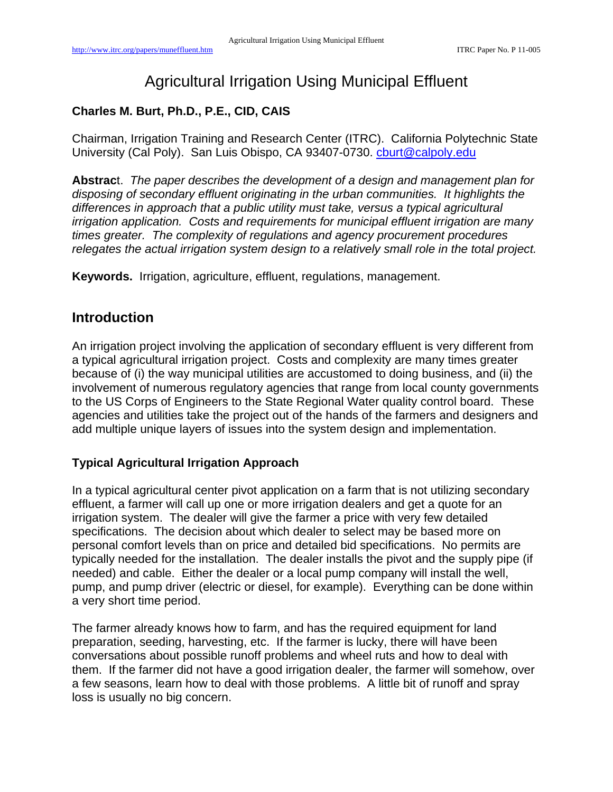# Agricultural Irrigation Using Municipal Effluent

## **Charles M. Burt, Ph.D., P.E., CID, CAIS**

Chairman, Irrigation Training and Research Center (ITRC). California Polytechnic State University (Cal Poly). San Luis Obispo, CA 93407-0730. cburt@calpoly.edu

**Abstrac**t. *The paper describes the development of a design and management plan for disposing of secondary effluent originating in the urban communities. It highlights the differences in approach that a public utility must take, versus a typical agricultural irrigation application. Costs and requirements for municipal effluent irrigation are many times greater. The complexity of regulations and agency procurement procedures relegates the actual irrigation system design to a relatively small role in the total project.* 

**Keywords.** Irrigation, agriculture, effluent, regulations, management.

## **Introduction**

An irrigation project involving the application of secondary effluent is very different from a typical agricultural irrigation project. Costs and complexity are many times greater because of (i) the way municipal utilities are accustomed to doing business, and (ii) the involvement of numerous regulatory agencies that range from local county governments to the US Corps of Engineers to the State Regional Water quality control board. These agencies and utilities take the project out of the hands of the farmers and designers and add multiple unique layers of issues into the system design and implementation.

#### **Typical Agricultural Irrigation Approach**

In a typical agricultural center pivot application on a farm that is not utilizing secondary effluent, a farmer will call up one or more irrigation dealers and get a quote for an irrigation system. The dealer will give the farmer a price with very few detailed specifications. The decision about which dealer to select may be based more on personal comfort levels than on price and detailed bid specifications. No permits are typically needed for the installation. The dealer installs the pivot and the supply pipe (if needed) and cable. Either the dealer or a local pump company will install the well, pump, and pump driver (electric or diesel, for example). Everything can be done within a very short time period.

The farmer already knows how to farm, and has the required equipment for land preparation, seeding, harvesting, etc. If the farmer is lucky, there will have been conversations about possible runoff problems and wheel ruts and how to deal with them. If the farmer did not have a good irrigation dealer, the farmer will somehow, over a few seasons, learn how to deal with those problems. A little bit of runoff and spray loss is usually no big concern.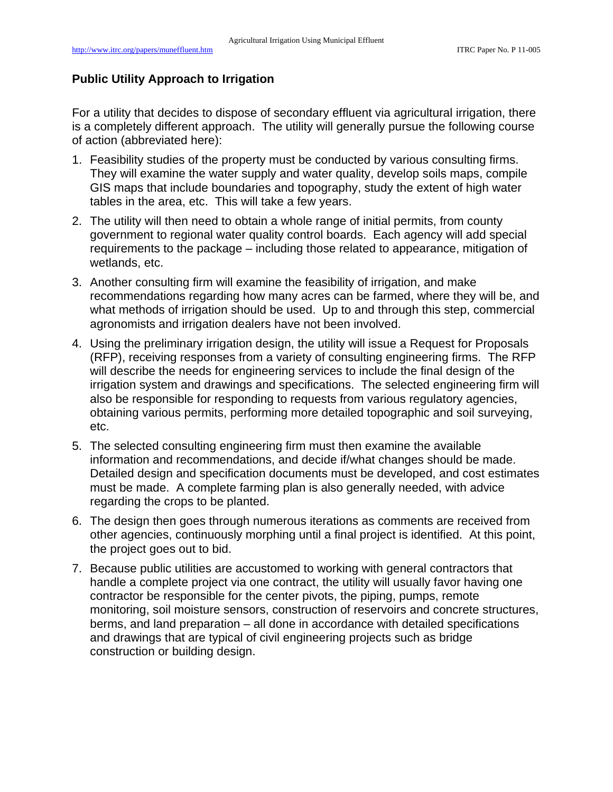#### **Public Utility Approach to Irrigation**

For a utility that decides to dispose of secondary effluent via agricultural irrigation, there is a completely different approach. The utility will generally pursue the following course of action (abbreviated here):

- 1. Feasibility studies of the property must be conducted by various consulting firms. They will examine the water supply and water quality, develop soils maps, compile GIS maps that include boundaries and topography, study the extent of high water tables in the area, etc. This will take a few years.
- 2. The utility will then need to obtain a whole range of initial permits, from county government to regional water quality control boards. Each agency will add special requirements to the package – including those related to appearance, mitigation of wetlands, etc.
- 3. Another consulting firm will examine the feasibility of irrigation, and make recommendations regarding how many acres can be farmed, where they will be, and what methods of irrigation should be used. Up to and through this step, commercial agronomists and irrigation dealers have not been involved.
- 4. Using the preliminary irrigation design, the utility will issue a Request for Proposals (RFP), receiving responses from a variety of consulting engineering firms. The RFP will describe the needs for engineering services to include the final design of the irrigation system and drawings and specifications. The selected engineering firm will also be responsible for responding to requests from various regulatory agencies, obtaining various permits, performing more detailed topographic and soil surveying, etc.
- 5. The selected consulting engineering firm must then examine the available information and recommendations, and decide if/what changes should be made. Detailed design and specification documents must be developed, and cost estimates must be made. A complete farming plan is also generally needed, with advice regarding the crops to be planted.
- 6. The design then goes through numerous iterations as comments are received from other agencies, continuously morphing until a final project is identified. At this point, the project goes out to bid.
- 7. Because public utilities are accustomed to working with general contractors that handle a complete project via one contract, the utility will usually favor having one contractor be responsible for the center pivots, the piping, pumps, remote monitoring, soil moisture sensors, construction of reservoirs and concrete structures, berms, and land preparation – all done in accordance with detailed specifications and drawings that are typical of civil engineering projects such as bridge construction or building design.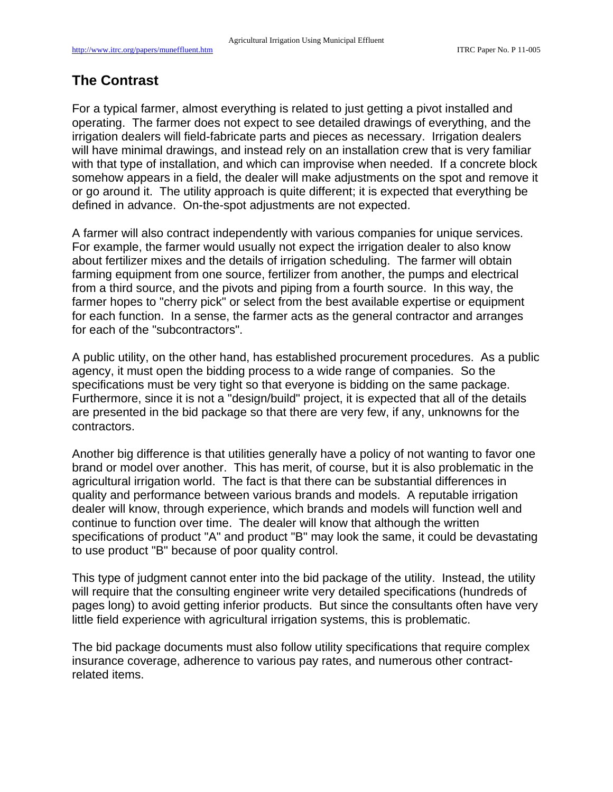### **The Contrast**

For a typical farmer, almost everything is related to just getting a pivot installed and operating. The farmer does not expect to see detailed drawings of everything, and the irrigation dealers will field-fabricate parts and pieces as necessary. Irrigation dealers will have minimal drawings, and instead rely on an installation crew that is very familiar with that type of installation, and which can improvise when needed. If a concrete block somehow appears in a field, the dealer will make adjustments on the spot and remove it or go around it. The utility approach is quite different; it is expected that everything be defined in advance. On-the-spot adjustments are not expected.

A farmer will also contract independently with various companies for unique services. For example, the farmer would usually not expect the irrigation dealer to also know about fertilizer mixes and the details of irrigation scheduling. The farmer will obtain farming equipment from one source, fertilizer from another, the pumps and electrical from a third source, and the pivots and piping from a fourth source. In this way, the farmer hopes to "cherry pick" or select from the best available expertise or equipment for each function. In a sense, the farmer acts as the general contractor and arranges for each of the "subcontractors".

A public utility, on the other hand, has established procurement procedures. As a public agency, it must open the bidding process to a wide range of companies. So the specifications must be very tight so that everyone is bidding on the same package. Furthermore, since it is not a "design/build" project, it is expected that all of the details are presented in the bid package so that there are very few, if any, unknowns for the contractors.

Another big difference is that utilities generally have a policy of not wanting to favor one brand or model over another. This has merit, of course, but it is also problematic in the agricultural irrigation world. The fact is that there can be substantial differences in quality and performance between various brands and models. A reputable irrigation dealer will know, through experience, which brands and models will function well and continue to function over time. The dealer will know that although the written specifications of product "A" and product "B" may look the same, it could be devastating to use product "B" because of poor quality control.

This type of judgment cannot enter into the bid package of the utility. Instead, the utility will require that the consulting engineer write very detailed specifications (hundreds of pages long) to avoid getting inferior products. But since the consultants often have very little field experience with agricultural irrigation systems, this is problematic.

The bid package documents must also follow utility specifications that require complex insurance coverage, adherence to various pay rates, and numerous other contractrelated items.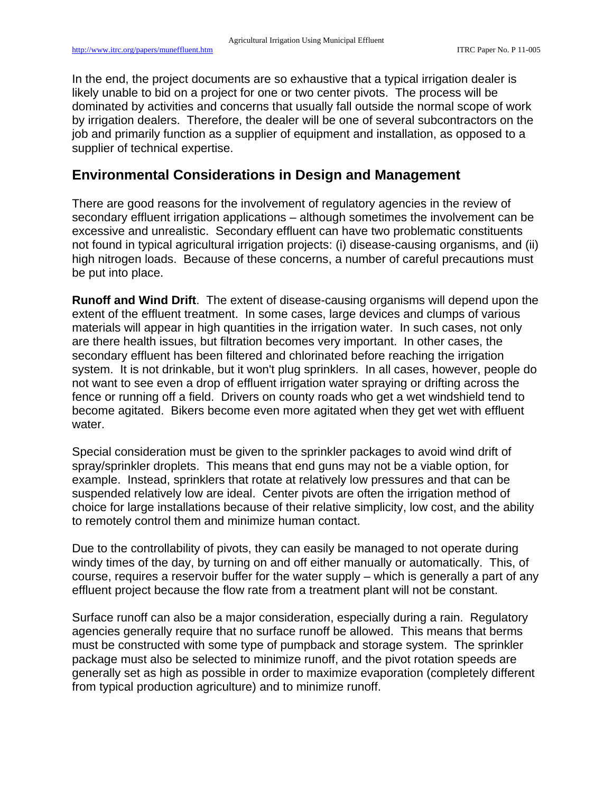In the end, the project documents are so exhaustive that a typical irrigation dealer is likely unable to bid on a project for one or two center pivots. The process will be dominated by activities and concerns that usually fall outside the normal scope of work by irrigation dealers. Therefore, the dealer will be one of several subcontractors on the job and primarily function as a supplier of equipment and installation, as opposed to a supplier of technical expertise.

### **Environmental Considerations in Design and Management**

There are good reasons for the involvement of regulatory agencies in the review of secondary effluent irrigation applications – although sometimes the involvement can be excessive and unrealistic. Secondary effluent can have two problematic constituents not found in typical agricultural irrigation projects: (i) disease-causing organisms, and (ii) high nitrogen loads. Because of these concerns, a number of careful precautions must be put into place.

**Runoff and Wind Drift**. The extent of disease-causing organisms will depend upon the extent of the effluent treatment. In some cases, large devices and clumps of various materials will appear in high quantities in the irrigation water. In such cases, not only are there health issues, but filtration becomes very important. In other cases, the secondary effluent has been filtered and chlorinated before reaching the irrigation system. It is not drinkable, but it won't plug sprinklers. In all cases, however, people do not want to see even a drop of effluent irrigation water spraying or drifting across the fence or running off a field. Drivers on county roads who get a wet windshield tend to become agitated. Bikers become even more agitated when they get wet with effluent water.

Special consideration must be given to the sprinkler packages to avoid wind drift of spray/sprinkler droplets. This means that end guns may not be a viable option, for example. Instead, sprinklers that rotate at relatively low pressures and that can be suspended relatively low are ideal. Center pivots are often the irrigation method of choice for large installations because of their relative simplicity, low cost, and the ability to remotely control them and minimize human contact.

Due to the controllability of pivots, they can easily be managed to not operate during windy times of the day, by turning on and off either manually or automatically. This, of course, requires a reservoir buffer for the water supply – which is generally a part of any effluent project because the flow rate from a treatment plant will not be constant.

Surface runoff can also be a major consideration, especially during a rain. Regulatory agencies generally require that no surface runoff be allowed. This means that berms must be constructed with some type of pumpback and storage system. The sprinkler package must also be selected to minimize runoff, and the pivot rotation speeds are generally set as high as possible in order to maximize evaporation (completely different from typical production agriculture) and to minimize runoff.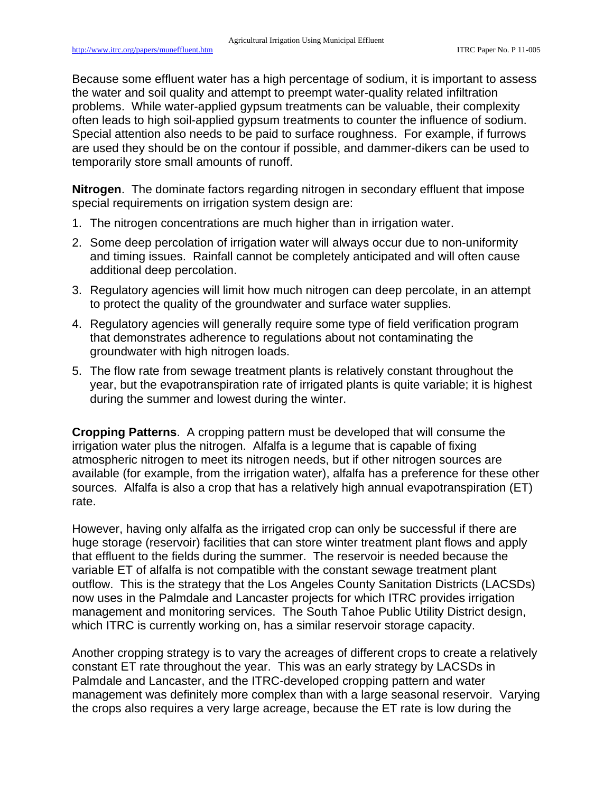Because some effluent water has a high percentage of sodium, it is important to assess the water and soil quality and attempt to preempt water-quality related infiltration problems. While water-applied gypsum treatments can be valuable, their complexity often leads to high soil-applied gypsum treatments to counter the influence of sodium. Special attention also needs to be paid to surface roughness. For example, if furrows are used they should be on the contour if possible, and dammer-dikers can be used to temporarily store small amounts of runoff.

**Nitrogen**. The dominate factors regarding nitrogen in secondary effluent that impose special requirements on irrigation system design are:

- 1. The nitrogen concentrations are much higher than in irrigation water.
- 2. Some deep percolation of irrigation water will always occur due to non-uniformity and timing issues. Rainfall cannot be completely anticipated and will often cause additional deep percolation.
- 3. Regulatory agencies will limit how much nitrogen can deep percolate, in an attempt to protect the quality of the groundwater and surface water supplies.
- 4. Regulatory agencies will generally require some type of field verification program that demonstrates adherence to regulations about not contaminating the groundwater with high nitrogen loads.
- 5. The flow rate from sewage treatment plants is relatively constant throughout the year, but the evapotranspiration rate of irrigated plants is quite variable; it is highest during the summer and lowest during the winter.

**Cropping Patterns**. A cropping pattern must be developed that will consume the irrigation water plus the nitrogen. Alfalfa is a legume that is capable of fixing atmospheric nitrogen to meet its nitrogen needs, but if other nitrogen sources are available (for example, from the irrigation water), alfalfa has a preference for these other sources. Alfalfa is also a crop that has a relatively high annual evapotranspiration (ET) rate.

However, having only alfalfa as the irrigated crop can only be successful if there are huge storage (reservoir) facilities that can store winter treatment plant flows and apply that effluent to the fields during the summer. The reservoir is needed because the variable ET of alfalfa is not compatible with the constant sewage treatment plant outflow. This is the strategy that the Los Angeles County Sanitation Districts (LACSDs) now uses in the Palmdale and Lancaster projects for which ITRC provides irrigation management and monitoring services. The South Tahoe Public Utility District design, which ITRC is currently working on, has a similar reservoir storage capacity.

Another cropping strategy is to vary the acreages of different crops to create a relatively constant ET rate throughout the year. This was an early strategy by LACSDs in Palmdale and Lancaster, and the ITRC-developed cropping pattern and water management was definitely more complex than with a large seasonal reservoir. Varying the crops also requires a very large acreage, because the ET rate is low during the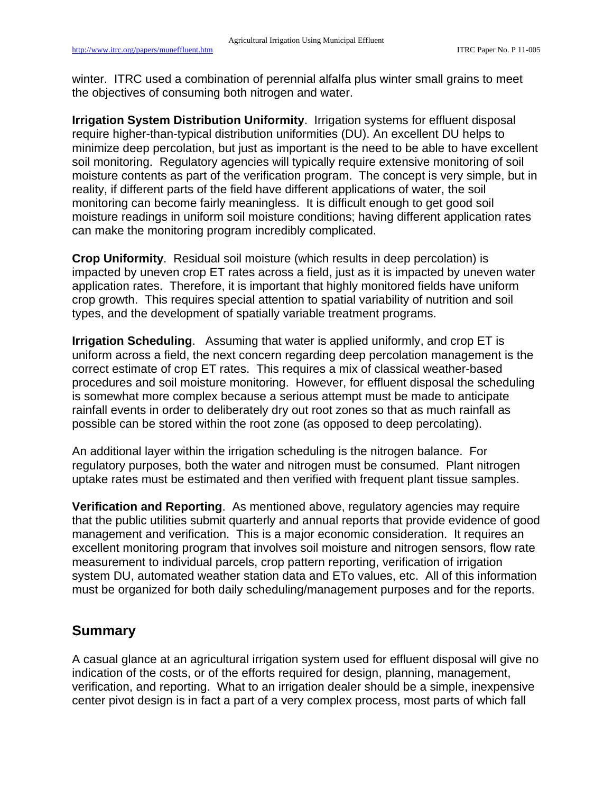winter. ITRC used a combination of perennial alfalfa plus winter small grains to meet the objectives of consuming both nitrogen and water.

**Irrigation System Distribution Uniformity**. Irrigation systems for effluent disposal require higher-than-typical distribution uniformities (DU). An excellent DU helps to minimize deep percolation, but just as important is the need to be able to have excellent soil monitoring. Regulatory agencies will typically require extensive monitoring of soil moisture contents as part of the verification program. The concept is very simple, but in reality, if different parts of the field have different applications of water, the soil monitoring can become fairly meaningless. It is difficult enough to get good soil moisture readings in uniform soil moisture conditions; having different application rates can make the monitoring program incredibly complicated.

**Crop Uniformity**. Residual soil moisture (which results in deep percolation) is impacted by uneven crop ET rates across a field, just as it is impacted by uneven water application rates. Therefore, it is important that highly monitored fields have uniform crop growth. This requires special attention to spatial variability of nutrition and soil types, and the development of spatially variable treatment programs.

**Irrigation Scheduling**. Assuming that water is applied uniformly, and crop ET is uniform across a field, the next concern regarding deep percolation management is the correct estimate of crop ET rates. This requires a mix of classical weather-based procedures and soil moisture monitoring. However, for effluent disposal the scheduling is somewhat more complex because a serious attempt must be made to anticipate rainfall events in order to deliberately dry out root zones so that as much rainfall as possible can be stored within the root zone (as opposed to deep percolating).

An additional layer within the irrigation scheduling is the nitrogen balance. For regulatory purposes, both the water and nitrogen must be consumed. Plant nitrogen uptake rates must be estimated and then verified with frequent plant tissue samples.

**Verification and Reporting**. As mentioned above, regulatory agencies may require that the public utilities submit quarterly and annual reports that provide evidence of good management and verification. This is a major economic consideration. It requires an excellent monitoring program that involves soil moisture and nitrogen sensors, flow rate measurement to individual parcels, crop pattern reporting, verification of irrigation system DU, automated weather station data and ETo values, etc. All of this information must be organized for both daily scheduling/management purposes and for the reports.

## **Summary**

A casual glance at an agricultural irrigation system used for effluent disposal will give no indication of the costs, or of the efforts required for design, planning, management, verification, and reporting. What to an irrigation dealer should be a simple, inexpensive center pivot design is in fact a part of a very complex process, most parts of which fall